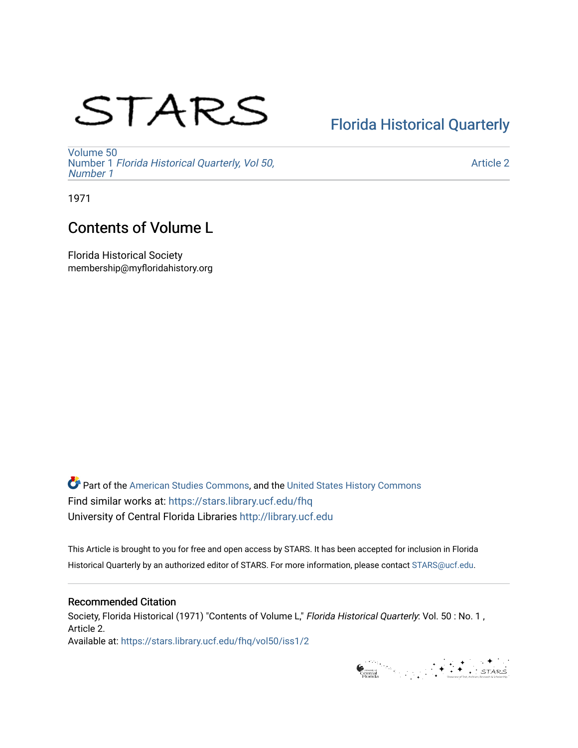# STARS

## [Florida Historical Quarterly](https://stars.library.ucf.edu/fhq)

[Volume 50](https://stars.library.ucf.edu/fhq/vol50) Number 1 [Florida Historical Quarterly, Vol 50,](https://stars.library.ucf.edu/fhq/vol50/iss1)  [Number 1](https://stars.library.ucf.edu/fhq/vol50/iss1)

[Article 2](https://stars.library.ucf.edu/fhq/vol50/iss1/2) 

1971

### Contents of Volume L

Florida Historical Society membership@myfloridahistory.org

**C** Part of the [American Studies Commons](http://network.bepress.com/hgg/discipline/439?utm_source=stars.library.ucf.edu%2Ffhq%2Fvol50%2Fiss1%2F2&utm_medium=PDF&utm_campaign=PDFCoverPages), and the United States History Commons Find similar works at: <https://stars.library.ucf.edu/fhq> University of Central Florida Libraries [http://library.ucf.edu](http://library.ucf.edu/) 

This Article is brought to you for free and open access by STARS. It has been accepted for inclusion in Florida Historical Quarterly by an authorized editor of STARS. For more information, please contact [STARS@ucf.edu.](mailto:STARS@ucf.edu)

#### Recommended Citation

Society, Florida Historical (1971) "Contents of Volume L," Florida Historical Quarterly: Vol. 50 : No. 1, Article 2.

Available at: [https://stars.library.ucf.edu/fhq/vol50/iss1/2](https://stars.library.ucf.edu/fhq/vol50/iss1/2?utm_source=stars.library.ucf.edu%2Ffhq%2Fvol50%2Fiss1%2F2&utm_medium=PDF&utm_campaign=PDFCoverPages) 

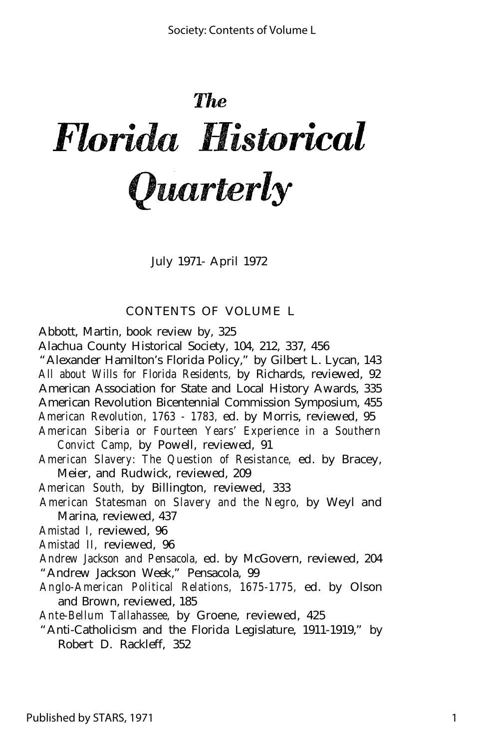# The Florida Historical *Quarterly*

July 1971- April 1972

#### CONTENTS OF VOLUME L

Abbott, Martin, book review by, 325

Alachua County Historical Society, 104, 212, 337, 456

"Alexander Hamilton's Florida Policy," by Gilbert L. Lycan, 143 *All about Wills for Florida Residents,* by Richards, reviewed, 92 American Association for State and Local History Awards, 335 American Revolution Bicentennial Commission Symposium, 455

*American Revolution, 1763 - 1783,* ed. by Morris, reviewed, 95

*American Siberia or Fourteen Years' Experience in a Southern Convict Camp,* by Powell, reviewed, 91

*American Slavery: The Question of Resistance,* ed. by Bracey, Meier, and Rudwick, reviewed, 209

*American South,* by Billington, reviewed, 333

*American Statesman on Slavery and the Negro,* by Weyl and Marina, reviewed, 437

*Amistad I,* reviewed, 96

*Amistad II,* reviewed, 96

*Andrew Jackson and Pensacola,* ed. by McGovern, reviewed, 204 "Andrew Jackson Week," Pensacola, 99

*Anglo-American Political Relations, 1675-1775,* ed. by Olson and Brown, reviewed, 185

*Ante-Bellum Tallahassee,* by Groene, reviewed, 425

"Anti-Catholicism and the Florida Legislature, 1911-1919," by Robert D. Rackleff, 352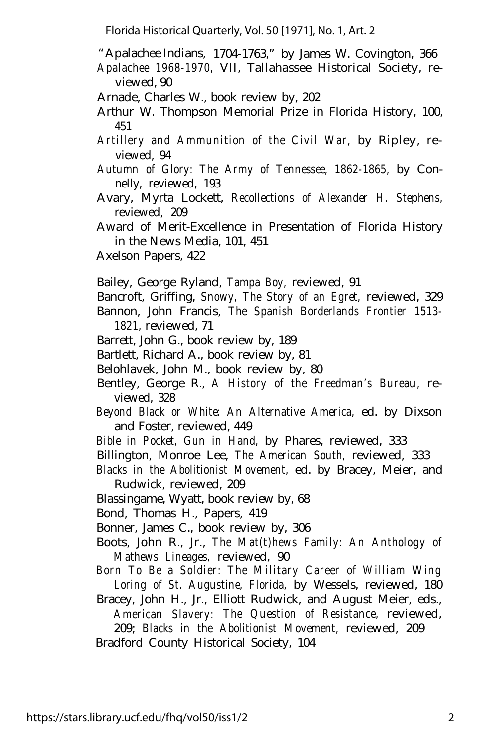"Apalachee Indians, 1704-1763," by James W. Covington, 366

*Apalachee 1968-1970,* VII, Tallahassee Historical Society, reviewed, 90

Arnade, Charles W., book review by, 202

Arthur W. Thompson Memorial Prize in Florida History, 100, 451

*Artillery and Ammunition of the Civil War,* by Ripley, reviewed, 94

- *Autumn of Glory: The Army of Tennessee, 1862-1865,* by Connelly, reviewed, 193
- Avary, Myrta Lockett, *Recollections of Alexander H. Stephens,* reviewed, 209

Award of Merit-Excellence in Presentation of Florida History in the News Media, 101, 451

Axelson Papers, 422

Bailey, George Ryland, *Tampa Boy,* reviewed, 91

- Bancroft, Griffing, *Snowy, The Story of an Egret,* reviewed, 329
- Bannon, John Francis, *The Spanish Borderlands Frontier 1513- 1821,* reviewed, 71
- Barrett, John G., book review by, 189
- Bartlett, Richard A., book review by, 81
- Belohlavek, John M., book review by, 80
- Bentley, George R., *A History of the Freedman's Bureau,* reviewed, 328
- *Beyond Black or White: An Alternative America,* ed. by Dixson and Foster, reviewed, 449
- *Bible in Pocket, Gun in Hand,* by Phares, reviewed, 333
- Billington, Monroe Lee, *The American South,* reviewed, 333
- *Blacks in the Abolitionist Movement,* ed. by Bracey, Meier, and Rudwick, reviewed, 209

Blassingame, Wyatt, book review by, 68

Bond, Thomas H., Papers, 419

Bonner, James C., book review by, 306

- Boots, John R., Jr., *The Mat(t)hews Family: An Anthology of Mathews Lineages,* reviewed, 90
- *Born To Be a Soldier: The Military Career of William Wing Loring of St. Augustine, Florida,* by Wessels, reviewed, 180
- Bracey, John H., Jr., Elliott Rudwick, and August Meier, eds., *American Slavery: The Question of Resistance,* reviewed, 209; *Blacks in the Abolitionist Movement,* reviewed, 209 Bradford County Historical Society, 104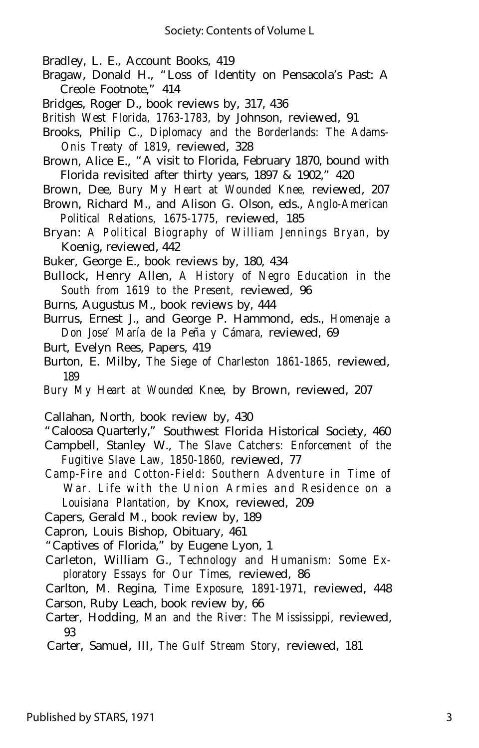- Bradley, L. E., Account Books, 419
- Bragaw, Donald H., "Loss of Identity on Pensacola's Past: A Creole Footnote," 414
- Bridges, Roger D., book reviews by, 317, 436
- *British West Florida, 1763-1783,* by Johnson, reviewed, 91
- Brooks, Philip C., *Diplomacy and the Borderlands: The Adams-Onis Treaty of 1819,* reviewed, 328
- Brown, Alice E., "A visit to Florida, February 1870, bound with Florida revisited after thirty years, 1897 & 1902," 420
- Brown, Dee, *Bury My Heart at Wounded Knee,* reviewed, 207
- Brown, Richard M., and Alison G. Olson, eds., *Anglo-American Political Relations, 1675-1775,* reviewed, 185
- Bryan: *A Political Biography of William Jennings Bryan,* by Koenig, reviewed, 442
- Buker, George E., book reviews by, 180, 434
- Bullock, Henry Allen, *A History of Negro Education in the South from 1619 to the Present,* reviewed, 96
- Burns, Augustus M., book reviews by, 444
- Burrus, Ernest J., and George P. Hammond, eds., *Homenaje a Don Jose' María de la Peña y Cámara,* reviewed, 69
- Burt, Evelyn Rees, Papers, 419
- Burton, E. Milby, *The Siege of Charleston 1861-1865,* reviewed, 189
- *Bury My Heart at Wounded Knee,* by Brown, reviewed, 207

Callahan, North, book review by, 430

- "Caloosa Quarterly," Southwest Florida Historical Society, 460
- Campbell, Stanley W., *The Slave Catchers: Enforcement of the Fugitive Slave Law, 1850-1860,* reviewed, 77
- *Camp-Fire and Cotton-Field: Southern Adventure in Time of War. Life with the Union Armies and Residence on a Louisiana Plantation,* by Knox, reviewed, 209
- Capers, Gerald M., book review by, 189
- Capron, Louis Bishop, Obituary, 461
- "Captives of Florida," by Eugene Lyon, 1
- Carleton, William G., *Technology and Humanism: Some Exploratory Essays for Our Times,* reviewed, 86
- Carlton, M. Regina, *Time Exposure, 1891-1971,* reviewed, 448 Carson, Ruby Leach, book review by, 66
- Carter, Hodding, *Man and the River: The Mississippi,* reviewed, 93
- Carter, Samuel, III, *The Gulf Stream Story,* reviewed, 181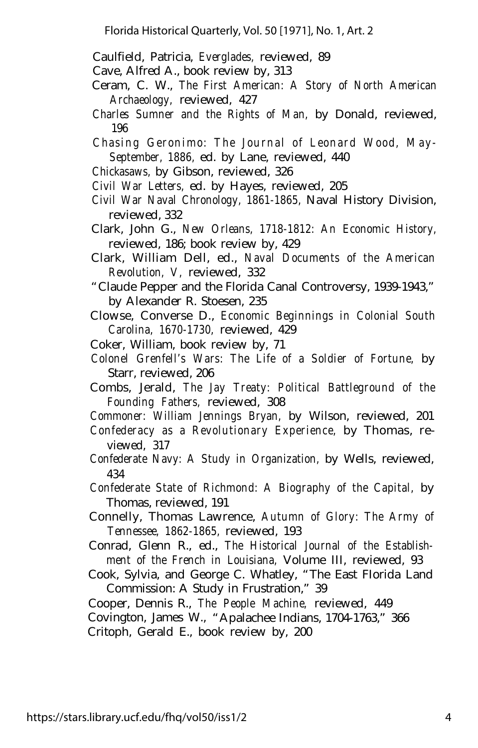Caulfield, Patricia, *Everglades,* reviewed, 89

Cave, Alfred A., book review by, 313

- Ceram, C. W., *The First American: A Story of North American Archaeology,* reviewed, 427
- *Charles Sumner and the Rights of Man,* by Donald, reviewed, 196
- *Chasing Geronimo: The Journal of Leonard Wood, May-September, 1886,* ed. by Lane, reviewed, 440
- *Chickasaws,* by Gibson, reviewed, 326
- *Civil War Letters,* ed. by Hayes, reviewed, 205
- *Civil War Naval Chronology, 1861-1865,* Naval History Division, reviewed, 332
- Clark, John G., *New Orleans, 1718-1812: An Economic History,* reviewed, 186; book review by, 429
- Clark, William Dell, ed., *Naval Documents of the American Revolution, V,* reviewed, 332
- "Claude Pepper and the Florida Canal Controversy, 1939-1943," by Alexander R. Stoesen, 235
- Clowse, Converse D., *Economic Beginnings in Colonial South Carolina, 1670-1730,* reviewed, 429
- Coker, William, book review by, 71
- *Colonel Grenfell's Wars: The Life of a Soldier of Fortune,* by Starr, reviewed, 206
- Combs, Jerald, *The Jay Treaty: Political Battleground of the Founding Fathers,* reviewed, 308
- *Commoner: William Jennings Bryan,* by Wilson, reviewed, 201
- *Confederacy as a Revolutionary Experience,* by Thomas, reviewed, 317
- *Confederate Navy: A Study in Organization,* by Wells, reviewed, 434
- *Confederate State of Richmond: A Biography of the Capital,* by Thomas, reviewed, 191
- Connelly, Thomas Lawrence, *Autumn of Glory: The Army of Tennessee, 1862-1865,* reviewed, 193
- Conrad, Glenn R., ed., *The Historical Journal of the Establishment of the French in Louisiana,* Volume III, reviewed, 93
- Cook, Sylvia, and George C. Whatley, "The East FIorida Land Commission: A Study in Frustration," 39
- Cooper, Dennis R., *The People Machine,* reviewed, 449
- Covington, James W., "Apalachee Indians, 1704-1763," 366

Critoph, Gerald E., book review by, 200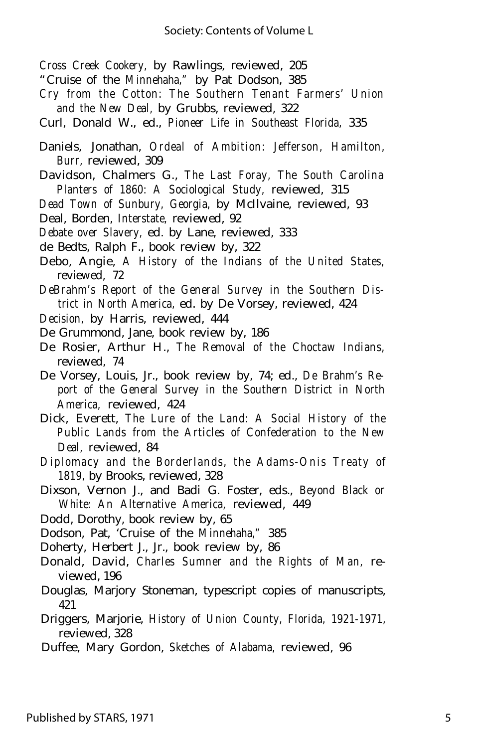*Cross Creek Cookery,* by Rawlings, reviewed, 205

- "Cruise of the *Minnehaha,"* by Pat Dodson, 385
- *Cry from the Cotton: The Southern Tenant Farmers' Union and the New Deal,* by Grubbs, reviewed, 322
- Curl, Donald W., ed., *Pioneer Life in Southeast Florida,* 335
- Daniels, Jonathan, *Ordeal of Ambition: Jefferson, Hamilton, Burr,* reviewed, 309
- Davidson, Chalmers G., *The Last Foray, The South Carolina Planters of 1860: A Sociological Study,* reviewed, 315
- *Dead Town of Sunbury, Georgia,* by McIlvaine, reviewed, 93 Deal, Borden, *Interstate,* reviewed, 92
- *Debate over Slavery,* ed. by Lane, reviewed, 333
- de Bedts, Ralph F., book review by, 322
- Debo, Angie, *A History of the Indians of the United States,* reviewed, 72
- *DeBrahm's Report of the General Survey in the Southern District in North America,* ed. by De Vorsey, reviewed, 424
- *Decision,* by Harris, reviewed, 444
- De Grummond, Jane, book review by, 186
- De Rosier, Arthur H., *The Removal of the Choctaw Indians,* reviewed, 74
- De Vorsey, Louis, Jr., book review by, 74; ed., *De Brahm's Report of the General Survey in the Southern District in North America,* reviewed, 424
- Dick, Everett, *The Lure of the Land: A Social History of the Public Lands from the Articles of Confederation to the New Deal,* reviewed, 84
- *Diplomacy and the Borderlands, the Adams-Onis Treaty of 1819,* by Brooks, reviewed, 328
- Dixson, Vernon J., and Badi G. Foster, eds., *Beyond Black or White: An Alternative America,* reviewed, 449
- Dodd, Dorothy, book review by, 65

Dodson, Pat, 'Cruise of the *Minnehaha,"* 385

Doherty, Herbert J., Jr., book review by, 86

- Donald, David, *Charles Sumner and the Rights of Man,* reviewed, 196
- Douglas, Marjory Stoneman, typescript copies of manuscripts, 421
- Driggers, Marjorie, *History of Union County, Florida, 1921-1971,* reviewed, 328
- Duffee, Mary Gordon, *Sketches of Alabama,* reviewed, 96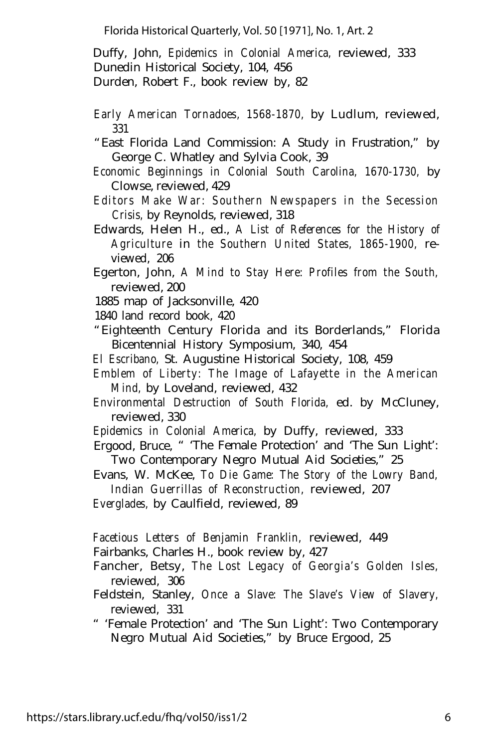Duffy, John, *Epidemics in Colonial America,* reviewed, 333 Dunedin Historical Society, 104, 456

Durden, Robert F., book review by, 82

- *Early American Tornadoes, 1568-1870,* by Ludlum, reviewed, 331
- "East Florida Land Commission: A Study in Frustration," by George C. Whatley and Sylvia Cook, 39
- *Economic Beginnings in Colonial South Carolina, 1670-1730,* by Clowse, reviewed, 429
- *Editors Make War: Southern Newspapers in the Secession Crisis,* by Reynolds, reviewed, 318
- Edwards, Helen H., ed., *A List of References for the History of Agriculture* in *the Southern United States, 1865-1900,* reviewed, 206
- Egerton, John, *A Mind to Stay Here: Profiles from the South,* reviewed, 200
- 1885 map of Jacksonville, 420
- 1840 land record book, 420
- "Eighteenth Century Florida and its Borderlands," Florida Bicentennial History Symposium, 340, 454
- *El Escribano,* St. Augustine Historical Society, 108, 459
- *Emblem of Liberty: The Image of Lafayette in the American Mind,* by Loveland, reviewed, 432
- *Environmental Destruction of South Florida,* ed. by McCluney, reviewed, 330
- *Epidemics in Colonial America,* by Duffy, reviewed, 333
- Ergood, Bruce, " 'The Female Protection' and 'The Sun Light': Two Contemporary Negro Mutual Aid Societies," 25
- Evans, W. McKee, *To Die Game: The Story of the Lowry Band, Indian Guerrillas of Reconstruction,* reviewed, 207

*Everglades,* by Caulfield, reviewed, 89

*Facetious Letters of Benjamin Franklin,* reviewed, 449

- Fairbanks, Charles H., book review by, 427
- Fancher, Betsy, *The Lost Legacy of Georgia's Golden Isles,* reviewed, 306
- Feldstein, Stanley, *Once a Slave: The Slave's View of Slavery,* reviewed, 331
- " 'Female Protection' and 'The Sun Light': Two Contemporary Negro Mutual Aid Societies," by Bruce Ergood, 25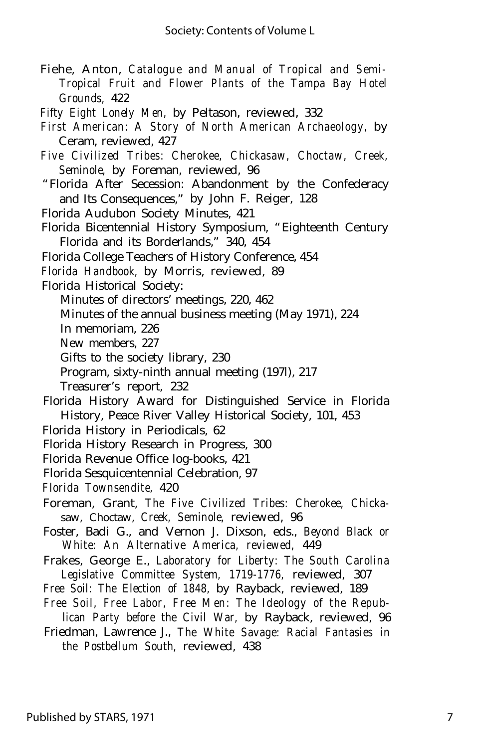- Fiehe, Anton, *Catalogue and Manual of Tropical and Semi-Tropical Fruit and Flower Plants of the Tampa Bay Hotel Grounds,* 422
- *Fifty Eight Lonely Men,* by Peltason, reviewed, 332
- *First American: A Story of North American Archaeology,* by Ceram, reviewed, 427
- *Five Civilized Tribes: Cherokee, Chickasaw, Choctaw, Creek, Seminole,* by Foreman, reviewed, 96
- "Florida After Secession: Abandonment by the Confederacy and Its Consequences," by John F. Reiger, 128
- Florida Audubon Society Minutes, 421
- Florida Bicentennial History Symposium, "Eighteenth Century Florida and its Borderlands," 340, 454
- Florida College Teachers of History Conference, 454
- *Florida Handbook,* by Morris, reviewed, 89
- Florida Historical Society:
	- Minutes of directors' meetings, 220, 462
	- Minutes of the annual business meeting (May 1971), 224
	- In memoriam, 226
	- New members, 227
	- Gifts to the society library, 230
	- Program, sixty-ninth annual meeting (197l), 217
	- Treasurer's report, 232
- Florida History Award for Distinguished Service in Florida History, Peace River Valley Historical Society, 101, 453
- Florida History in Periodicals, 62
- Florida History Research in Progress, 300
- Florida Revenue Office log-books, 421
- Florida Sesquicentennial Celebration, 97
- *Florida Townsendite,* 420
- Foreman, Grant, *The Five Civilized Tribes: Cherokee, Chicka*saw, Choctaw, *Creek, Seminole,* reviewed, 96
- Foster, Badi G., and Vernon J. Dixson, eds., *Beyond Black or White: An Alternative America, reviewed,* 449
- Frakes, George E., *Laboratory for Liberty: The South Carolina Legislative Committee System, 1719-1776,* reviewed, 307
- *Free Soil: The Election of 1848,* by Rayback, reviewed, 189
- *Free Soil, Free Labor, Free Men: The Ideology of the Republican Party before the Civil War,* by Rayback, reviewed, 96
- Friedman, Lawrence J., *The White Savage: Racial Fantasies in the Postbellum South,* reviewed, 438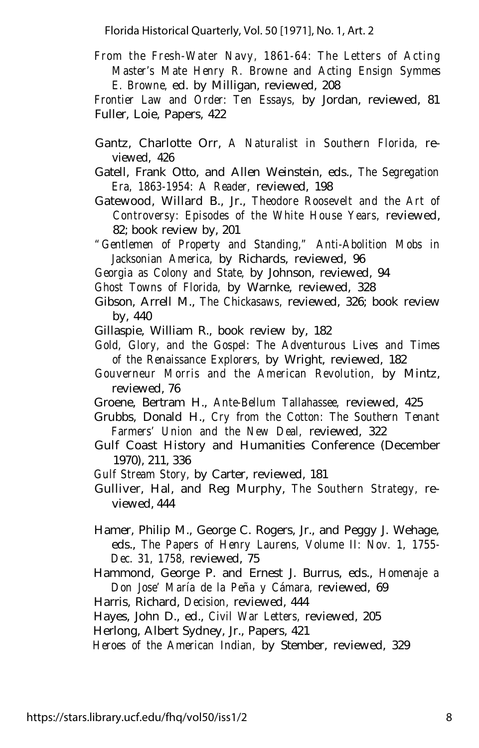*From the Fresh-Water Navy, 1861-64: The Letters of Acting Master's Mate Henry R. Browne and Acting Ensign Symmes E. Browne,* ed. by Milligan, reviewed, 208

*Frontier Law and Order: Ten Essays,* by Jordan, reviewed, 81 Fuller, Loie, Papers, 422

- Gantz, Charlotte Orr, *A Naturalist in Southern Florida,* reviewed, 426
- Gatell, Frank Otto, and Allen Weinstein, eds., *The Segregation Era, 1863-1954: A Reader,* reviewed, 198
- Gatewood, Willard B., Jr., *Theodore Roosevelt and the Art of Controversy: Episodes of the White House Years,* reviewed, 82; book review by, 201
- *"Gentlemen of Property and Standing," Anti-Abolition Mobs in Jacksonian America,* by Richards, reviewed, 96
- *Georgia as Colony and State,* by Johnson, reviewed, 94
- *Ghost Towns of Florida,* by Warnke, reviewed, 328
- Gibson, Arrell M., *The Chickasaws,* reviewed, 326; book review by, 440
- Gillaspie, William R., book review by, 182
- *Gold, Glory, and the Gospel: The Adventurous Lives and Times of the Renaissance Explorers,* by Wright, reviewed, 182
- *Gouverneur Morris and the American Revolution,* by Mintz, reviewed, 76
- Groene, Bertram H., *Ante-Bellum Tallahassee,* reviewed, 425
- Grubbs, Donald H., *Cry from the Cotton: The Southern Tenant Farmers' Union and the New Deal,* reviewed, 322
- Gulf Coast History and Humanities Conference (December 1970), 211, 336
- *Gulf Stream Story,* by Carter, reviewed, 181
- Gulliver, Hal, and Reg Murphy, *The Southern Strategy,* reviewed, 444
- Hamer, Philip M., George C. Rogers, Jr., and Peggy J. Wehage, eds., *The Papers of Henry Laurens, Volume II: Nov. 1, 1755- Dec. 31, 1758,* reviewed, 75
- Hammond, George P. and Ernest J. Burrus, eds., *Homenaje a Don Jose' María de la Peña y Cámara,* reviewed, 69
- Harris, Richard, *Decision,* reviewed, 444
- Hayes, John D., ed., *Civil War Letters,* reviewed, 205

Herlong, Albert Sydney, Jr., Papers, 421

*Heroes of the American Indian,* by Stember, reviewed, 329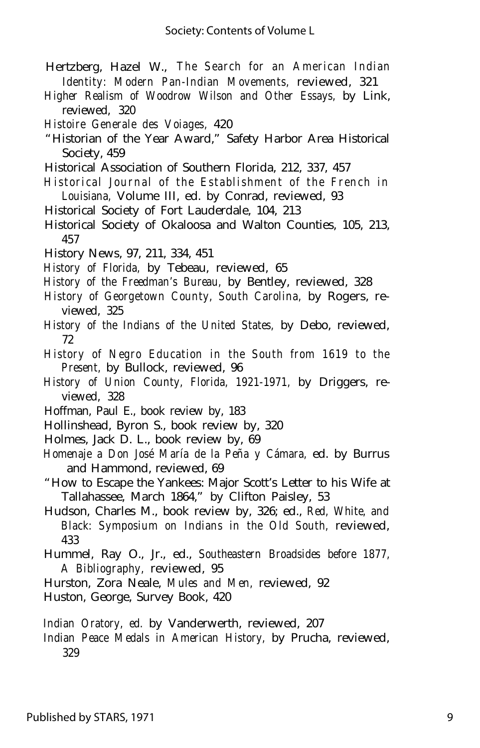- Hertzberg, Hazel W., *The Search for an American Indian Identity: Modern Pan-Indian Movements,* reviewed, 321
- *Higher Realism of Woodrow Wilson and Other Essays,* by Link, reviewed, 320
- *Histoire Generale des Voiages,* 420
- "Historian of the Year Award," Safety Harbor Area Historical Society, 459
- Historical Association of Southern Florida, 212, 337, 457
- *Historical Journal of the Establishment of the French in Louisiana,* Volume III, ed. by Conrad, reviewed, 93
- Historical Society of Fort Lauderdale, 104, 213
- Historical Society of Okaloosa and Walton Counties, 105, 213, 457
- History News, 97, 211, 334, 451
- *History of Florida,* by Tebeau, reviewed, 65
- *History of the Freedman's Bureau,* by Bentley, reviewed, 328
- *History of Georgetown County, South Carolina,* by Rogers, reviewed, 325
- *History of the Indians of the United States,* by Debo, reviewed, 72
- *History of Negro Education in the South from 1619 to the Present,* by Bullock, reviewed, 96
- *History of Union County, Florida, 1921-1971,* by Driggers, reviewed, 328
- Hoffman, Paul E., book review by, 183
- Hollinshead, Byron S., book review by, 320
- Holmes, Jack D. L., book review by, 69
- *Homenaje a Don José María de la Peña y Cámara,* ed. by Burrus and Hammond, reviewed, 69
- "How to Escape the Yankees: Major Scott's Letter to his Wife at Tallahassee, March 1864," by Clifton Paisley, 53
- Hudson, Charles M., book review by, 326; ed., *Red, White, and Black: Symposium on Indians in the Old South,* reviewed, 433
- Hummel, Ray O., Jr., ed., *Southeastern Broadsides before 1877, A Bibliography,* reviewed, 95
- Hurston, Zora Neale, *Mules and Men,* reviewed, 92
- Huston, George, Survey Book, 420

*Indian Oratory, ed.* by Vanderwerth, reviewed, 207

*Indian Peace Medals in American History,* by Prucha, reviewed, 329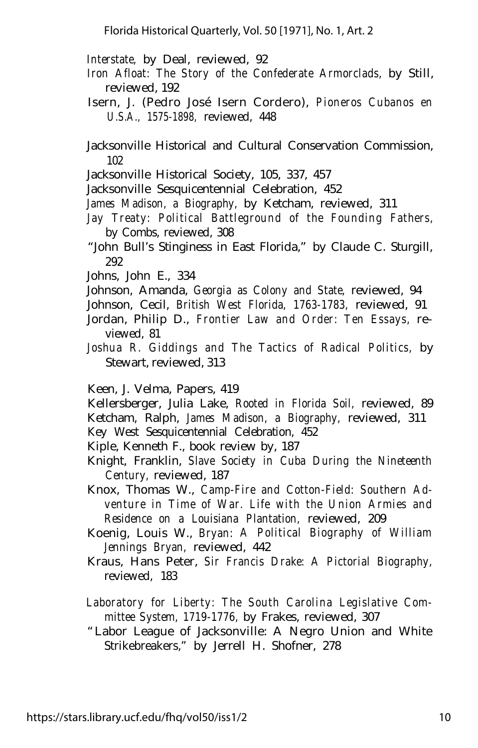*Interstate,* by Deal, reviewed, 92

- *Iron Afloat: The Story of the Confederate Armorclads,* by Still, reviewed, 192
- Isern, J. (Pedro José Isern Cordero), *Pioneros Cubanos en U.S.A., 1575-1898,* reviewed, 448

Jacksonville Historical and Cultural Conservation Commission, 102

- Jacksonville Historical Society, 105, 337, 457
- Jacksonville Sesquicentennial Celebration, 452
- *James Madison, a Biography,* by Ketcham, reviewed, 311
- *Jay Treaty: Political Battleground of the Founding Fathers,* by Combs, reviewed, 308
- "John Bull's Stinginess in East Florida," by Claude C. Sturgill, 292
- Johns, John E., 334
- Johnson, Amanda, *Georgia as Colony and State,* reviewed, 94
- Johnson, Cecil, *British West Florida, 1763-1783,* reviewed, 91
- Jordan, Philip D., *Frontier Law and Order: Ten Essays,* reviewed, 81
- *Joshua R. Giddings and The Tactics of Radical Politics,* by Stewart, reviewed, 313

Keen, J. Velma, Papers, 419

Kellersberger, Julia Lake, *Rooted in Florida Soil,* reviewed, 89 Ketcham, Ralph, *James Madison, a Biography,* reviewed, 311

Key West Sesquicentennial Celebration, 452

Kiple, Kenneth F., book review by, 187

- Knight, Franklin, *Slave Society in Cuba During the Nineteenth Century,* reviewed, 187
- Knox, Thomas W., *Camp-Fire and Cotton-Field: Southern Adventure in Time of War. Life with the Union Armies and Residence on a Louisiana Plantation,* reviewed, 209
- Koenig, Louis W., *Bryan: A Political Biography of William Jennings Bryan,* reviewed, 442
- Kraus, Hans Peter, *Sir Francis Drake: A Pictorial Biography,* reviewed, 183
- *Laboratory for Liberty: The South Carolina Legislative Committee System, 1719-1776,* by Frakes, reviewed, 307
- "Labor League of Jacksonville: A Negro Union and White Strikebreakers," by Jerrell H. Shofner, 278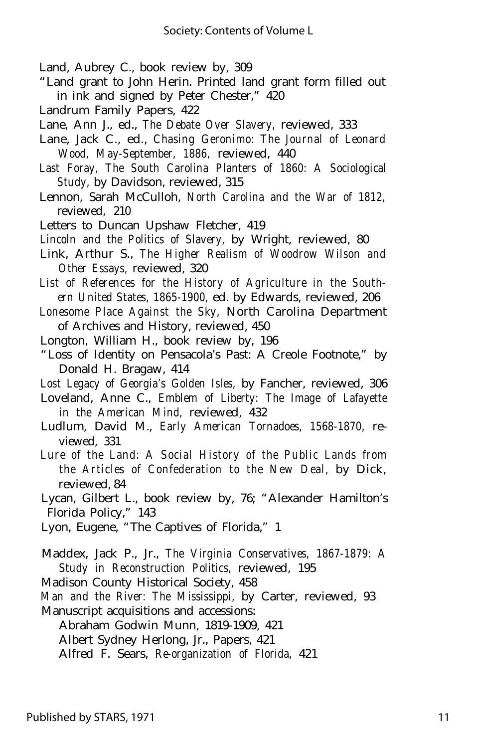Land, Aubrey C., book review by, 309

- "Land grant to John Herin. Printed land grant form filled out in ink and signed by Peter Chester," 420
- Landrum Family Papers, 422
- Lane, Ann J., ed., *The Debate Over Slavery,* reviewed, 333
- Lane, Jack C., ed., *Chasing Geronimo: The Journal of Leonard Wood, May-September, 1886,* reviewed, 440
- *Last Foray, The South Carolina Planters of 1860: A Sociological Study,* by Davidson, reviewed, 315
- Lennon, Sarah McCulloh, *North Carolina and the War of 1812,* reviewed, 210
- Letters to Duncan Upshaw Fletcher, 419
- *Lincoln and the Politics of Slavery,* by Wright, reviewed, 80
- Link, Arthur S., *The Higher Realism of Woodrow Wilson and Other Essays,* reviewed, 320
- *List of References for the History of Agriculture in the Southern United States, 1865-1900,* ed. by Edwards, reviewed, 206
- *Lonesome Place Against the Sky,* North Carolina Department of Archives and History, reviewed, 450
- Longton, William H., book review by, 196
- "Loss of Identity on Pensacola's Past: A Creole Footnote," by Donald H. Bragaw, 414
- *Lost Legacy of Georgia's Golden Isles,* by Fancher, reviewed, 306
- Loveland, Anne C., *Emblem of Liberty: The Image of Lafayette in the American Mind,* reviewed, 432
- Ludlum, David M., *Early American Tornadoes, 1568-1870,* reviewed, 331
- *Lure of the Land: A Social History of the Public Lands from the Articles of Confederation to the New Deal,* by Dick, reviewed, 84
- Lycan, Gilbert L., book review by, 76; "Alexander Hamilton's Florida Policy," 143

Lyon, Eugene, "The Captives of Florida," 1

- Maddex, Jack P., Jr., *The Virginia Conservatives, 1867-1879: A Study in Reconstruction Politics,* reviewed, 195
- Madison County Historical Society, 458
- *Man and the River: The Mississippi,* by Carter, reviewed, 93 Manuscript acquisitions and accessions:
	- Abraham Godwin Munn, 1819-1909, 421
	- Albert Sydney Herlong, Jr., Papers, 421
	- Alfred F. Sears, *Re-organization of Florida,* 421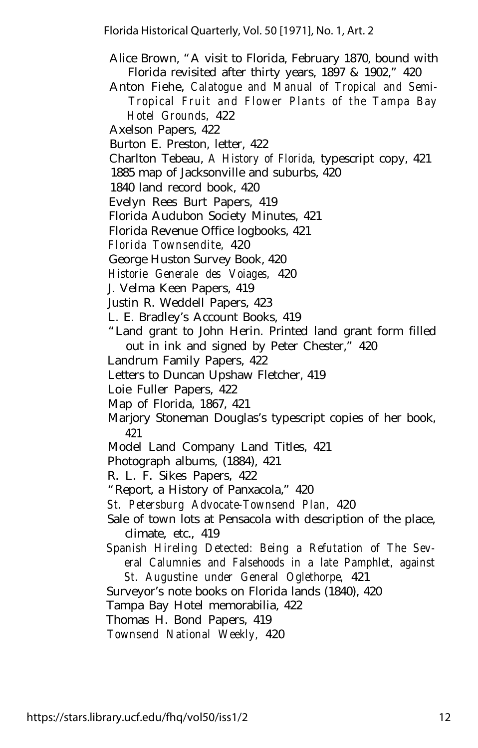- Alice Brown, "A visit to Florida, February 1870, bound with Florida revisited after thirty years, 1897 & 1902," 420
- Anton Fiehe, *Calatogue and Manual of Tropical and Semi-Tropical Fruit and Flower Plants of the Tampa Bay Hotel Grounds,* 422
- Axelson Papers, 422
- Burton E. Preston, letter, 422
- Charlton Tebeau, *A History of Florida,* typescript copy, 421
- 1885 map of Jacksonville and suburbs, 420
- 1840 land record book, 420
- Evelyn Rees Burt Papers, 419
- Florida Audubon Society Minutes, 421
- Florida Revenue Office logbooks, 421
- *Florida Townsendite,* 420
- George Huston Survey Book, 420
- *Historie Generale des Voiages,* 420
- J. Velma Keen Papers, 419
- Justin R. Weddell Papers, 423
- L. E. Bradley's Account Books, 419
- "Land grant to John Herin. Printed land grant form filled out in ink and signed by Peter Chester," 420
- Landrum Family Papers, 422
- Letters to Duncan Upshaw Fletcher, 419
- Loie Fuller Papers, 422
- Map of Florida, 1867, 421
- Marjory Stoneman Douglas's typescript copies of her book, 421
- Model Land Company Land Titles, 421
- Photograph albums, (1884), 421
- R. L. F. Sikes Papers, 422
- "Report, a History of Panxacola," 420
- *St. Petersburg Advocate-Townsend Plan,* 420
- Sale of town lots at Pensacola with description of the place, climate, etc., 419
- *Spanish Hireling Detected: Being a Refutation of The Several Calumnies and Falsehoods in a late Pamphlet, against St. Augustine under General Oglethorpe,* 421
- Surveyor's note books on Florida lands (1840), 420
- Tampa Bay Hotel memorabilia, 422
- Thomas H. Bond Papers, 419
- *Townsend National Weekly,* 420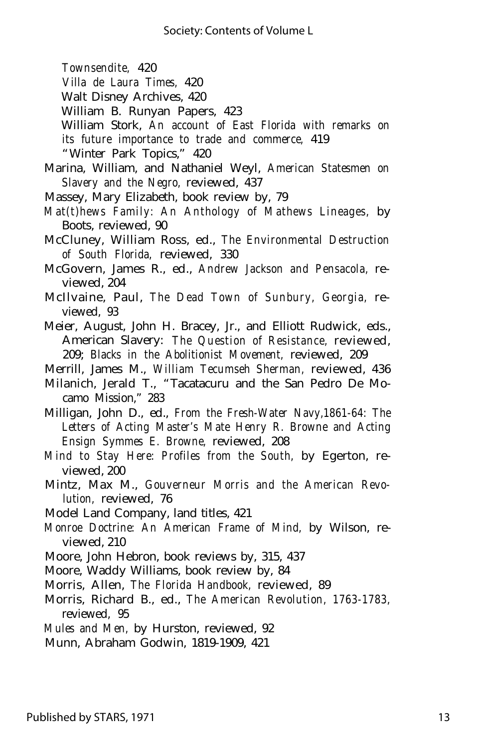*Townsendite,* 420

- *Villa de Laura Times,* 420
- Walt Disney Archives, 420
- William B. Runyan Papers, 423
- William Stork, *An account of East Florida with remarks on its future importance to trade and commerce,* 419 "Winter Park Topics," 420
- Marina, William, and Nathaniel Weyl, *American Statesmen on Slavery and the Negro,* reviewed, 437
- Massey, Mary Elizabeth, book review by, 79
- *Mat(t)hews Family: An Anthology of Mathews Lineages,* by Boots, reviewed, 90
- McCluney, William Ross, ed., *The Environmental Destruction of South Florida,* reviewed, 330
- McGovern, James R., ed., *Andrew Jackson and Pensacola,* reviewed, 204
- McIlvaine, Paul, *The Dead Town of Sunbury, Georgia,* reviewed, 93
- Meier, August, John H. Bracey, Jr., and Elliott Rudwick, eds., American Slavery: *The Question of Resistance,* reviewed, 209; *Blacks in the Abolitionist Movement,* reviewed, 209
- Merrill, James M., *William Tecumseh Sherman,* reviewed, 436
- Milanich, Jerald T., "Tacatacuru and the San Pedro De Mocamo Mission," 283
- Milligan, John D., ed., *From the Fresh-Water Navy,1861-64: The Letters of Acting Master's Mate Henry R. Browne and Acting Ensign Symmes E. Browne,* reviewed, 208
- *Mind to Stay Here: Profiles from the South,* by Egerton, reviewed, 200
- Mintz, Max M., *Gouverneur Morris and the American Revolution,* reviewed, 76
- Model Land Company, land titles, 421
- *Monroe Doctrine: An American Frame of Mind,* by Wilson, reviewed, 210
- Moore, John Hebron, book reviews by, 315, 437
- Moore, Waddy Williams, book review by, 84
- Morris, Allen, *The Florida Handbook,* reviewed, 89
- Morris, Richard B., ed., *The American Revolution, 1763-1783,* reviewed, 95
- *Mules and Men,* by Hurston, reviewed, 92

Munn, Abraham Godwin, 1819-1909, 421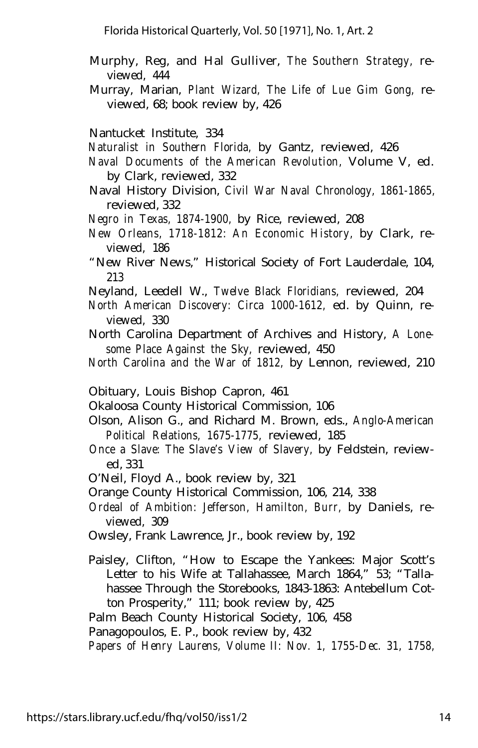- Murphy, Reg, and Hal Gulliver, *The Southern Strategy,* reviewed, 444
- Murray, Marian, *Plant Wizard, The Life of Lue Gim Gong,* reviewed, 68; book review by, 426

Nantucket Institute, 334

- *Naturalist in Southern Florida,* by Gantz, reviewed, 426
- *Naval Documents of the American Revolution,* Volume V, ed. by Clark, reviewed, 332
- Naval History Division, *Civil War Naval Chronology, 1861-1865,* reviewed, 332
- *Negro in Texas, 1874-1900,* by Rice, reviewed, 208
- *New Orleans, 1718-1812: An Economic History,* by Clark, reviewed, 186
- "New River News," Historical Society of Fort Lauderdale, 104, 213
- Neyland, Leedell W., *Twelve Black Floridians,* reviewed, 204
- *North American Discovery: Circa 1000-1612,* ed. by Quinn, reviewed, 330
- North Carolina Department of Archives and History, *A Lonesome Place Against the Sky,* reviewed, 450
- *North Carolina and the War of 1812,* by Lennon, reviewed, 210
- Obituary, Louis Bishop Capron, 461
- Okaloosa County Historical Commission, 106
- Olson, Alison G., and Richard M. Brown, eds., *Anglo-American Political Relations, 1675-1775,* reviewed, 185
- *Once a Slave: The Slave's View of Slavery,* by Feldstein, reviewed, 331
- O'Neil, Floyd A., book review by, 321
- Orange County Historical Commission, 106, 214, 338
- *Ordeal of Ambition: Jefferson, Hamilton, Burr,* by Daniels, reviewed, 309
- Owsley, Frank Lawrence, Jr., book review by, 192
- Paisley, Clifton, "How to Escape the Yankees: Major Scott's Letter to his Wife at Tallahassee, March 1864," 53; "Tallahassee Through the Storebooks, 1843-1863: Antebellum Cotton Prosperity," 111; book review by, 425

Palm Beach County Historical Society, 106, 458

Panagopoulos, E. P., book review by, 432

*Papers of Henry Laurens, Volume II: Nov. 1, 1755-Dec. 31, 1758,*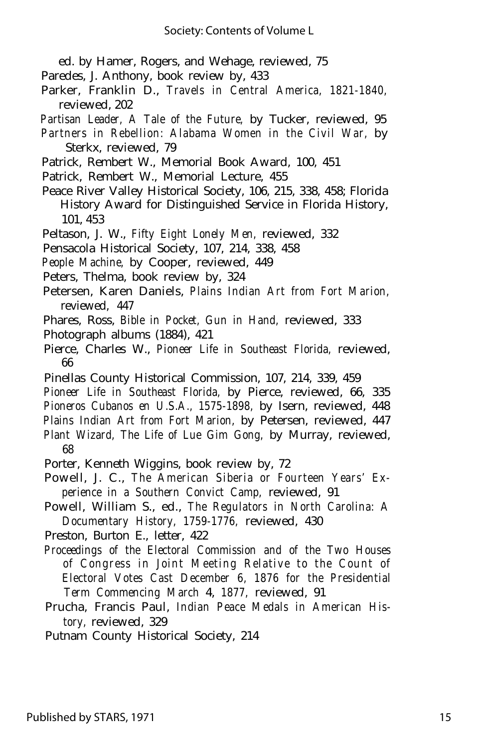ed. by Hamer, Rogers, and Wehage, reviewed, 75

- Paredes, J. Anthony, book review by, 433
- Parker, Franklin D., *Travels in Central America, 1821-1840,* reviewed, 202
- *Partisan Leader, A Tale of the Future,* by Tucker, reviewed, 95
- *Partners in Rebellion: Alabama Women in the Civil War,* by Sterkx, reviewed, 79
- Patrick, Rembert W., Memorial Book Award, 100, 451
- Patrick, Rembert W., Memorial Lecture, 455
- Peace River Valley Historical Society, 106, 215, 338, 458; Florida History Award for Distinguished Service in Florida History, 101, 453
- Peltason, J. W., *Fifty Eight Lonely Men,* reviewed, 332
- Pensacola Historical Society, 107, 214, 338, 458
- *People Machine,* by Cooper, reviewed, 449
- Peters, Thelma, book review by, 324
- Petersen, Karen Daniels, *Plains Indian Art from Fort Marion,* reviewed, 447
- Phares, Ross, *Bible in Pocket, Gun in Hand,* reviewed, 333
- Photograph albums (1884), 421
- Pierce, Charles W., *Pioneer Life in Southeast Florida,* reviewed, 66
- Pinellas County Historical Commission, 107, 214, 339, 459
- *Pioneer Life in Southeast Florida,* by Pierce, reviewed, 66, 335 *Pioneros Cubanos en U.S.A., 1575-1898,* by Isern, reviewed, 448 *Plains Indian Art from Fort Marion,* by Petersen, reviewed, 447 *Plant Wizard, The Life of Lue Gim Gong,* by Murray, reviewed,
- 68
- Porter, Kenneth Wiggins, book review by, 72
- Powell, J. C., *The American Siberia or Fourteen Years' Experience in a Southern Convict Camp,* reviewed, 91
- Powell, William S., ed., *The Regulators in North Carolina: A Documentary History, 1759-1776,* reviewed, 430
- Preston, Burton E., letter, 422
- *Proceedings of the Electoral Commission and of the Two Houses of Congress in Joint Meeting Relative to the Count of Electoral Votes Cast December 6, 1876 for the Presidential Term Commencing March* 4, *1877,* reviewed, 91
- Prucha, Francis Paul, *Indian Peace Medals in American History,* reviewed, 329
- Putnam County Historical Society, 214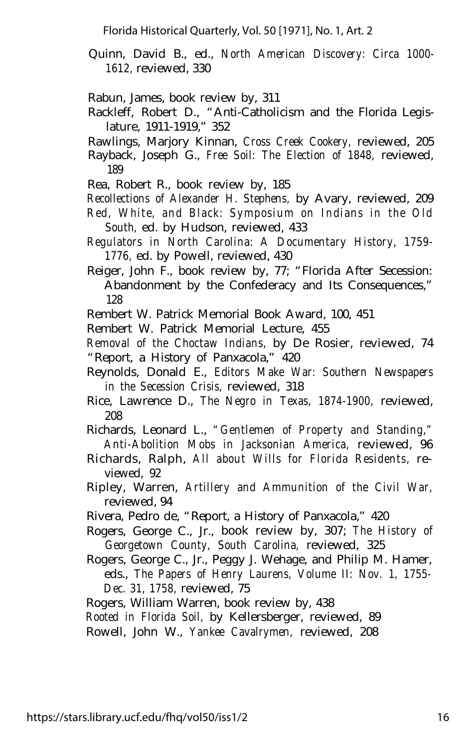- Quinn, David B., ed., *North American Discovery: Circa 1000- 1612,* reviewed, 330
- Rabun, James, book review by, 311
- Rackleff, Robert D., "Anti-Catholicism and the Florida Legislature, 1911-1919," 352
- Rawlings, Marjory Kinnan, *Cross Creek Cookery,* reviewed, 205
- Rayback, Joseph G., *Free Soil: The Election of 1848,* reviewed, 189
- Rea, Robert R., book review by, 185

*Recollections of Alexander H. Stephens,* by Avary, reviewed, 209

- *Red, White, and Black: Symposium on Indians in the Old South,* ed. by Hudson, reviewed, 433
- *Regulators in North Carolina: A Documentary History, 1759- 1776,* ed. by Powell, reviewed, 430
- Reiger, John F., book review by, 77; "Florida After Secession: Abandonment by the Confederacy and Its Consequences," 128
- Rembert W. Patrick Memorial Book Award, 100, 451
- Rembert W. Patrick Memorial Lecture, 455

*Removal of the Choctaw Indians,* by De Rosier, reviewed, 74 "Report, a History of Panxacola," 420

- Reynolds, Donald E., *Editors Make War: Southern Newspapers in the Secession Crisis,* reviewed, 318
- Rice, Lawrence D., *The Negro in Texas, 1874-1900,* reviewed, 208
- Richards, Leonard L., *"Gentlemen of Property and Standing," Anti-Abolition Mobs in Jacksonian America,* reviewed, 96
- Richards, Ralph, *All about Wills for Florida Residents,* reviewed, 92
- Ripley, Warren, *Artillery and Ammunition of the Civil War,* reviewed, 94
- Rivera, Pedro de, "Report, a History of Panxacola," 420
- Rogers, George C., Jr., book review by, 307; *The History of Georgetown County, South Carolina,* reviewed, 325
- Rogers, George C., Jr., Peggy J. Wehage, and Philip M. Hamer, eds., *The Papers of Henry Laurens, Volume II: Nov. 1, 1755- Dec. 31, 1758,* reviewed, 75
- Rogers, William Warren, book review by, 438
- *Rooted in Florida Soil,* by Kellersberger, reviewed, 89

Rowell, John W., *Yankee Cavalrymen,* reviewed, 208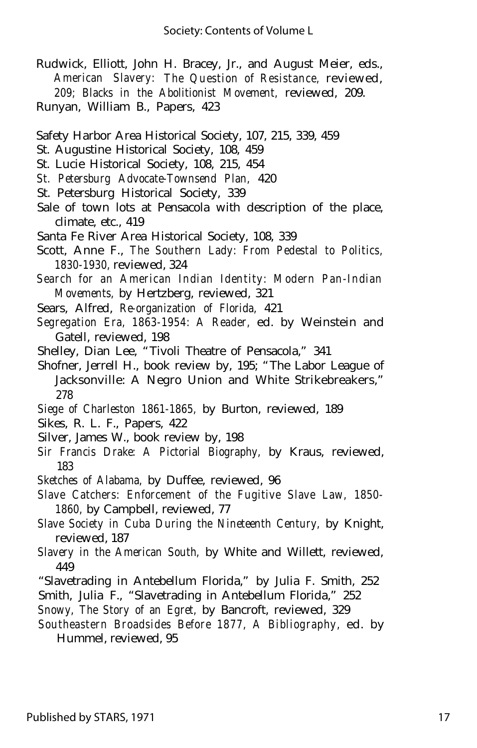- Rudwick, Elliott, John H. Bracey, Jr., and August Meier, eds., *American Slavery: The Question of Resistance,* reviewed, *209; Blacks in the Abolitionist Movement,* reviewed, 209. Runyan, William B., Papers, 423
- Safety Harbor Area Historical Society, 107, 215, 339, 459
- St. Augustine Historical Society, 108, 459
- St. Lucie Historical Society, 108, 215, 454
- *St. Petersburg Advocate-Townsend Plan,* 420
- St. Petersburg Historical Society, 339
- Sale of town lots at Pensacola with description of the place, climate, etc., 419
- Santa Fe River Area Historical Society, 108, 339
- Scott, Anne F., *The Southern Lady: From Pedestal to Politics, 1830-1930,* reviewed, 324
- *Search for an American Indian Identity: Modern Pan-Indian Movements,* by Hertzberg, reviewed, 321
- Sears, Alfred, *Re-organization of Florida,* 421
- *Segregation Era, 1863-1954: A Reader,* ed. by Weinstein and Gatell, reviewed, 198
- Shelley, Dian Lee, "Tivoli Theatre of Pensacola," 341
- Shofner, Jerrell H., book review by, 195; "The Labor League of Jacksonville: A Negro Union and White Strikebreakers," 278
- *Siege of Charleston 1861-1865,* by Burton, reviewed, 189
- Sikes, R. L. F., Papers, 422
- Silver, James W., book review by, 198
- *Sir Francis Drake: A Pictorial Biography,* by Kraus, reviewed, 183
- *Sketches of Alabama,* by Duffee, reviewed, 96
- *Slave Catchers: Enforcement of the Fugitive Slave Law, 1850- 1860,* by Campbell, reviewed, 77
- *Slave Society in Cuba During the Nineteenth Century,* by Knight, reviewed, 187
- *Slavery in the American South,* by White and Willett, reviewed, 449
- "Slavetrading in Antebellum Florida," by Julia F. Smith, 252
- Smith, Julia F., "Slavetrading in Antebellum Florida," 252
- *Snowy, The Story of an Egret,* by Bancroft, reviewed, 329
- *Southeastern Broadsides Before 1877, A Bibliography,* ed. by Hummel, reviewed, 95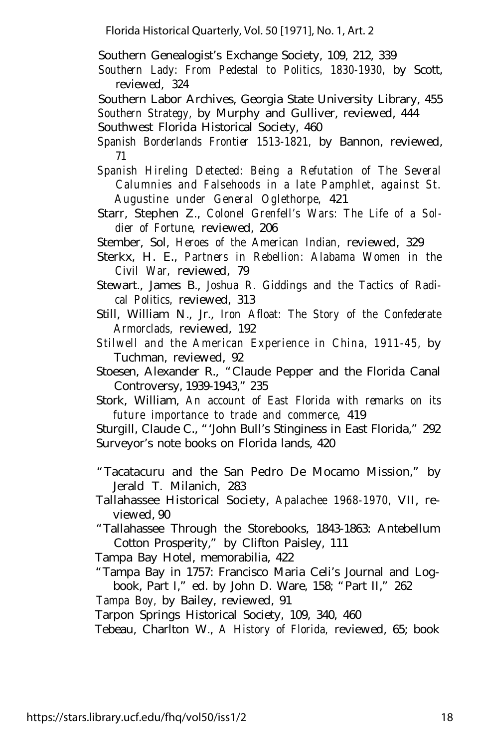Southern Genealogist's Exchange Society, 109, 212, 339

*Southern Lady: From Pedestal to Politics, 1830-1930,* by Scott, reviewed, 324

Southern Labor Archives, Georgia State University Library, 455 *Southern Strategy,* by Murphy and Gulliver, reviewed, 444

Southwest Florida Historical Society, 460

- *Spanish Borderlands Frontier 1513-1821,* by Bannon, reviewed, 71
- *Spanish Hireling Detected: Being a Refutation of The Several Calumnies and Falsehoods in a late Pamphlet, against St. Augustine under General Oglethorpe,* 421
- Starr, Stephen Z., *Colonel Grenfell's Wars: The Life of a Soldier of Fortune,* reviewed, 206
- Stember, Sol, *Heroes of the American Indian,* reviewed, 329
- Sterkx, H. E., *Partners in Rebellion: Alabama Women in the Civil War,* reviewed, 79
- Stewart., James B., *Joshua R. Giddings and the Tactics of Radical Politics,* reviewed, 313
- Still, William N., Jr., *Iron Afloat: The Story of the Confederate Armorclads,* reviewed, 192
- *Stilwell and the American Experience in China, 1911-45,* by Tuchman, reviewed, 92
- Stoesen, Alexander R., "Claude Pepper and the Florida Canal Controversy, 1939-1943," 235
- Stork, William, *An account of East Florida with remarks on its future importance to trade and commerce,* 419

Sturgill, Claude C., "'John Bull's Stinginess in East Florida," 292 Surveyor's note books on Florida lands, 420

"Tacatacuru and the San Pedro De Mocamo Mission," by Jerald T. Milanich, 283

- Tallahassee Historical Society, *Apalachee 1968-1970,* VII, reviewed, 90
- "Tallahassee Through the Storebooks, 1843-1863: Antebellum Cotton Prosperity," by Clifton Paisley, 111

Tampa Bay Hotel, memorabilia, 422

"Tampa Bay in 1757: Francisco Maria Celi's Journal and Logbook, Part I," ed. by John D. Ware, 158; "Part II," 262

*Tampa Boy,* by Bailey, reviewed, 91

Tarpon Springs Historical Society, 109, 340, 460

Tebeau, Charlton W., *A History of Florida,* reviewed, 65; book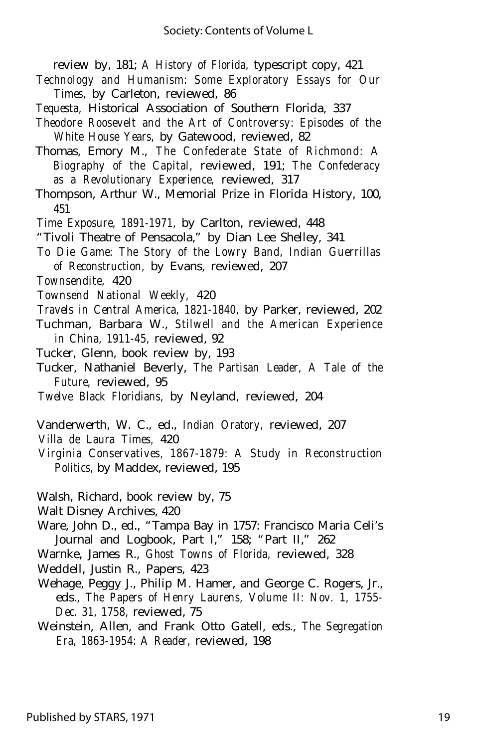review by, 181; *A History of Florida,* typescript copy, 421

- *Technology and Humanism: Some Exploratory Essays for Our Times,* by Carleton, reviewed, 86
- *Tequesta,* Historical Association of Southern Florida, 337
- *Theodore Roosevelt and the Art of Controversy: Episodes of the White House Years,* by Gatewood, reviewed, 82
- Thomas, Emory M., *The Confederate State of Richmond: A Biography of the Capital,* reviewed, 191; *The Confederacy as a Revolutionary Experience,* reviewed, 317
- Thompson, Arthur W., Memorial Prize in Florida History, 100, 451
- *Time Exposure, 1891-1971,* by Carlton, reviewed, 448
- "Tivoli Theatre of Pensacola," by Dian Lee Shelley, 341
- *To Die Game: The Story of the Lowry Band, Indian Guerrillas of Reconstruction,* by Evans, reviewed, 207
- *Townsendite,* 420
- *Townsend National Weekly,* 420
- *Travels in Central America, 1821-1840,* by Parker, reviewed, 202
- Tuchman, Barbara W., *Stilwell and the American Experience in China, 1911-45,* reviewed, 92
- Tucker, Glenn, book review by, 193
- Tucker, Nathaniel Beverly, *The Partisan Leader, A Tale of the Future,* reviewed, 95
- *Twelve Black Floridians,* by Neyland, reviewed, 204
- Vanderwerth, W. C., ed., *Indian Oratory,* reviewed, 207
- *Villa de Laura Times,* 420
- *Virginia Conservatives, 1867-1879: A Study in Reconstruction Politics,* by Maddex, reviewed, 195
- Walsh, Richard, book review by, 75
- Walt Disney Archives, 420
- Ware, John D., ed., "Tampa Bay in 1757: Francisco Maria Celi's Journal and Logbook, Part I," 158; "Part II," 262
- Warnke, James R., *Ghost Towns of Florida,* reviewed, 328
- Weddell, Justin R., Papers, 423
- Wehage, Peggy J., Philip M. Hamer, and George C. Rogers, Jr., eds., *The Papers of Henry Laurens, Volume II: Nov. 1, 1755- Dec. 31, 1758,* reviewed, 75
- Weinstein, Allen, and Frank Otto Gatell, eds., *The Segregation Era, 1863-1954: A Reader,* reviewed, 198